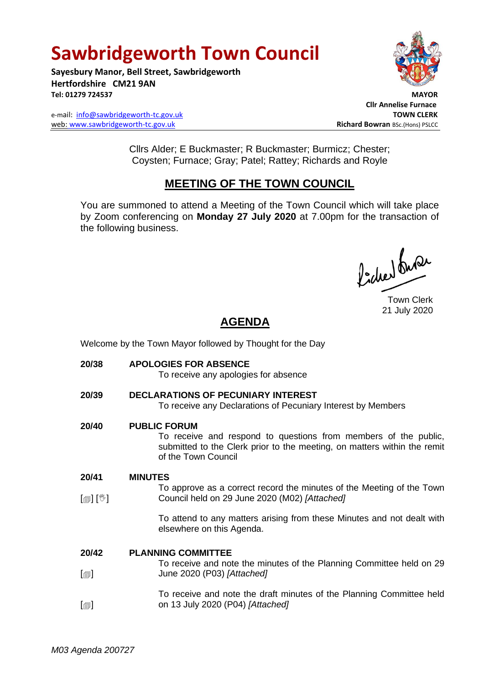# **Sawbridgeworth Town Council**

**Sayesbury Manor, Bell Street, Sawbridgeworth Hertfordshire CM21 9AN Tel: 01279 724537 MAYOR**

e-mail: [info@sawbridgeworth-tc.gov.uk](mailto:info@sawbridgeworth-tc.gov.uk) **TOWN CLERK** web: www.sawbridgeworth-tc.gov.uk **Richard Bowran** BSc.(Hons) PSLCC



 **Cllr Annelise Furnace**

Cllrs Alder; E Buckmaster; R Buckmaster; Burmicz; Chester; Coysten; Furnace; Gray; Patel; Rattey; Richards and Royle

# **MEETING OF THE TOWN COUNCIL**

You are summoned to attend a Meeting of the Town Council which will take place by Zoom conferencing on **Monday 27 July 2020** at 7.00pm for the transaction of the following business.

Pode buse

Town Clerk 21 July 2020

# **AGENDA**

Welcome by the Town Mayor followed by Thought for the Day

**20/38 APOLOGIES FOR ABSENCE** To receive any apologies for absence **20/39 DECLARATIONS OF PECUNIARY INTEREST** To receive any Declarations of Pecuniary Interest by Members **20/40 PUBLIC FORUM** To receive and respond to questions from members of the public, submitted to the Clerk prior to the meeting, on matters within the remit of the Town Council **20/41**  $\lceil$  [ $\mathbb{I}$ ]  $\lceil \mathbb{V} \rceil$ **MINUTES** To approve as a correct record the minutes of the Meeting of the Town Council held on 29 June 2020 (M02) *[Attached]* To attend to any matters arising from these Minutes and not dealt with elsewhere on this Agenda. **20/42**  $\Box$  $\Box$ **PLANNING COMMITTEE** To receive and note the minutes of the Planning Committee held on 29 June 2020 (P03) *[Attached]* To receive and note the draft minutes of the Planning Committee held on 13 July 2020 (P04) *[Attached]*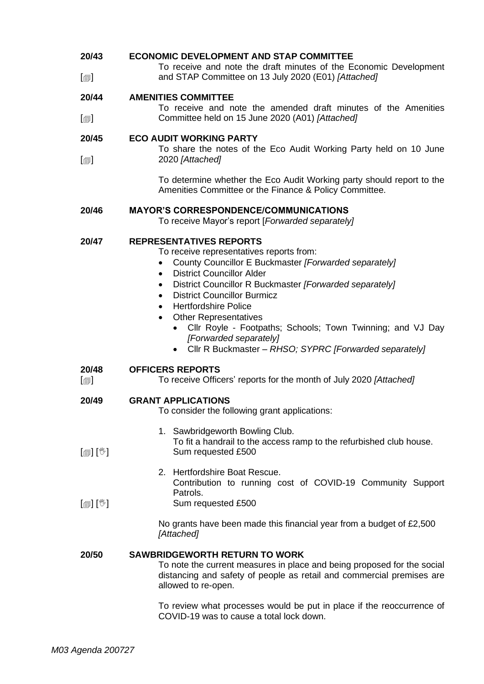### **20/43 ECONOMIC DEVELOPMENT AND STAP COMMITTEE**

 $\lceil$ To receive and note the draft minutes of the Economic Development and STAP Committee on 13 July 2020 (E01) *[Attached]*

### **20/44 AMENITIES COMMITTEE**

 $\lceil$  $\blacksquare$ To receive and note the amended draft minutes of the Amenities Committee held on 15 June 2020 (A01) *[Attached]*

#### **20/45 ECO AUDIT WORKING PARTY**

 $\lceil$  $\blacksquare$ To share the notes of the Eco Audit Working Party held on 10 June 2020 *[Attached]*

> To determine whether the Eco Audit Working party should report to the Amenities Committee or the Finance & Policy Committee.

### **20/46 MAYOR'S CORRESPONDENCE/COMMUNICATIONS**

To receive Mayor's report [*Forwarded separately]*

### **20/47 REPRESENTATIVES REPORTS**

To receive representatives reports from:

- County Councillor E Buckmaster *[Forwarded separately]*
- District Councillor Alder
- District Councillor R Buckmaster *[Forwarded separately]*
- **District Councillor Burmicz**
- Hertfordshire Police
- **Other Representatives** 
	- Cllr Royle Footpaths; Schools; Town Twinning; and VJ Day *[Forwarded separately]*
	- Cllr R Buckmaster *– RHSO; SYPRC [Forwarded separately]*

### **20/48 OFFICERS REPORTS**

 $\Box$ To receive Officers' reports for the month of July 2020 *[Attached]*

#### **20/49 GRANT APPLICATIONS**

- To consider the following grant applications:
- [創] [V] 1. Sawbridgeworth Bowling Club. To fit a handrail to the access ramp to the refurbished club house. Sum requested £500
	- 2. Hertfordshire Boat Rescue. Contribution to running cost of COVID-19 Community Support Patrols.
- $\lceil$  [ $\mathbb{I}$ ] Sum requested £500

No grants have been made this financial year from a budget of £2,500 *[Attached]*

### **20/50 SAWBRIDGEWORTH RETURN TO WORK**

To note the current measures in place and being proposed for the social distancing and safety of people as retail and commercial premises are allowed to re-open.

To review what processes would be put in place if the reoccurrence of COVID-19 was to cause a total lock down.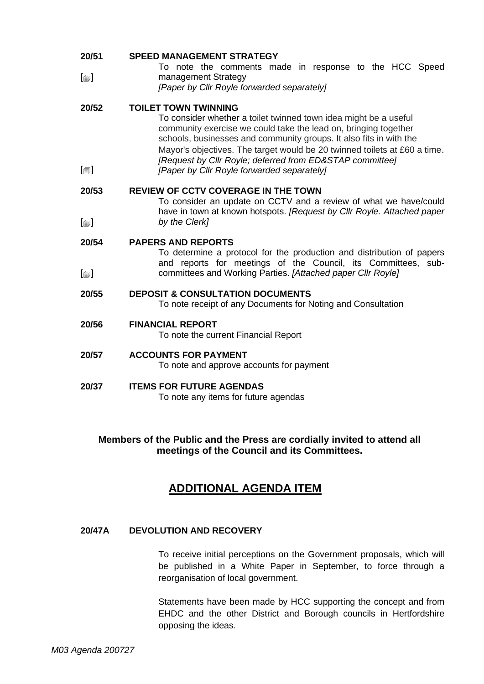| 20/51                                       | <b>SPEED MANAGEMENT STRATEGY</b>                                                                                                                                                                                                                                                                                                                                                                                                |
|---------------------------------------------|---------------------------------------------------------------------------------------------------------------------------------------------------------------------------------------------------------------------------------------------------------------------------------------------------------------------------------------------------------------------------------------------------------------------------------|
| $\textsf{[}$                                | To note the comments made in response to the HCC Speed<br>management Strategy                                                                                                                                                                                                                                                                                                                                                   |
|                                             | [Paper by Cllr Royle forwarded separately]                                                                                                                                                                                                                                                                                                                                                                                      |
| 20/52<br>$\textsf{[} \textsf{1} \textsf{]}$ | <b>TOILET TOWN TWINNING</b><br>To consider whether a toilet twinned town idea might be a useful<br>community exercise we could take the lead on, bringing together<br>schools, businesses and community groups. It also fits in with the<br>Mayor's objectives. The target would be 20 twinned toilets at £60 a time.<br>[Request by Cllr Royle; deferred from ED&STAP committee]<br>[Paper by Cllr Royle forwarded separately] |
| 20/53                                       | <b>REVIEW OF CCTV COVERAGE IN THE TOWN</b><br>To consider an update on CCTV and a review of what we have/could<br>have in town at known hotspots. [Request by Cllr Royle. Attached paper                                                                                                                                                                                                                                        |
| $\textsf{[}$                                | by the Clerk]                                                                                                                                                                                                                                                                                                                                                                                                                   |
| 20/54                                       | <b>PAPERS AND REPORTS</b><br>To determine a protocol for the production and distribution of papers<br>and reports for meetings of the Council, its Committees, sub-                                                                                                                                                                                                                                                             |
| $\textsf{[} \textsf{1} \textsf{]}$          | committees and Working Parties. [Attached paper Cllr Royle]                                                                                                                                                                                                                                                                                                                                                                     |
| 20/55                                       | <b>DEPOSIT &amp; CONSULTATION DOCUMENTS</b><br>To note receipt of any Documents for Noting and Consultation                                                                                                                                                                                                                                                                                                                     |
| 20/56                                       | <b>FINANCIAL REPORT</b><br>To note the current Financial Report                                                                                                                                                                                                                                                                                                                                                                 |
| 20/57                                       | <b>ACCOUNTS FOR PAYMENT</b><br>To note and approve accounts for payment                                                                                                                                                                                                                                                                                                                                                         |
| 20/37                                       | <b>ITEMS FOR FUTURE AGENDAS</b><br>To note any items for future agendas                                                                                                                                                                                                                                                                                                                                                         |

# **Members of the Public and the Press are cordially invited to attend all meetings of the Council and its Committees.**

# **ADDITIONAL AGENDA ITEM**

## **20/47A DEVOLUTION AND RECOVERY**

To receive initial perceptions on the Government proposals, which will be published in a White Paper in September, to force through a reorganisation of local government.

Statements have been made by HCC supporting the concept and from EHDC and the other District and Borough councils in Hertfordshire opposing the ideas.